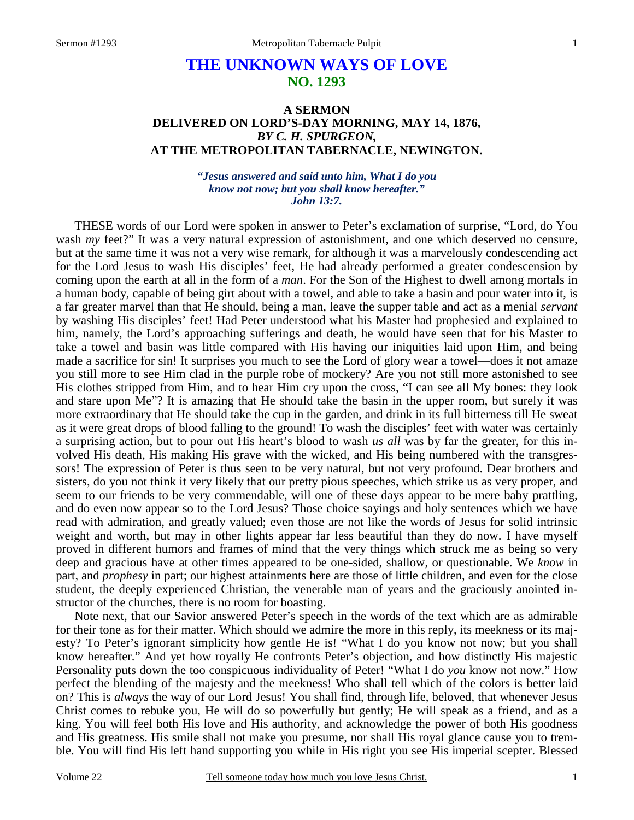# **THE UNKNOWN WAYS OF LOVE NO. 1293**

## **A SERMON DELIVERED ON LORD'S-DAY MORNING, MAY 14, 1876,**  *BY C. H. SPURGEON,*  **AT THE METROPOLITAN TABERNACLE, NEWINGTON.**

## *"Jesus answered and said unto him, What I do you know not now; but you shall know hereafter." John 13:7.*

THESE words of our Lord were spoken in answer to Peter's exclamation of surprise, "Lord, do You wash *my* feet?" It was a very natural expression of astonishment, and one which deserved no censure, but at the same time it was not a very wise remark, for although it was a marvelously condescending act for the Lord Jesus to wash His disciples' feet, He had already performed a greater condescension by coming upon the earth at all in the form of a *man*. For the Son of the Highest to dwell among mortals in a human body, capable of being girt about with a towel, and able to take a basin and pour water into it, is a far greater marvel than that He should, being a man, leave the supper table and act as a menial *servant* by washing His disciples' feet! Had Peter understood what his Master had prophesied and explained to him, namely, the Lord's approaching sufferings and death, he would have seen that for his Master to take a towel and basin was little compared with His having our iniquities laid upon Him, and being made a sacrifice for sin! It surprises you much to see the Lord of glory wear a towel—does it not amaze you still more to see Him clad in the purple robe of mockery? Are you not still more astonished to see His clothes stripped from Him, and to hear Him cry upon the cross, "I can see all My bones: they look and stare upon Me"? It is amazing that He should take the basin in the upper room, but surely it was more extraordinary that He should take the cup in the garden, and drink in its full bitterness till He sweat as it were great drops of blood falling to the ground! To wash the disciples' feet with water was certainly a surprising action, but to pour out His heart's blood to wash *us all* was by far the greater, for this involved His death, His making His grave with the wicked, and His being numbered with the transgressors! The expression of Peter is thus seen to be very natural, but not very profound. Dear brothers and sisters, do you not think it very likely that our pretty pious speeches, which strike us as very proper, and seem to our friends to be very commendable, will one of these days appear to be mere baby prattling, and do even now appear so to the Lord Jesus? Those choice sayings and holy sentences which we have read with admiration, and greatly valued; even those are not like the words of Jesus for solid intrinsic weight and worth, but may in other lights appear far less beautiful than they do now. I have myself proved in different humors and frames of mind that the very things which struck me as being so very deep and gracious have at other times appeared to be one-sided, shallow, or questionable. We *know* in part, and *prophesy* in part; our highest attainments here are those of little children, and even for the close student, the deeply experienced Christian, the venerable man of years and the graciously anointed instructor of the churches, there is no room for boasting.

 Note next, that our Savior answered Peter's speech in the words of the text which are as admirable for their tone as for their matter. Which should we admire the more in this reply, its meekness or its majesty? To Peter's ignorant simplicity how gentle He is! "What I do you know not now; but you shall know hereafter." And yet how royally He confronts Peter's objection, and how distinctly His majestic Personality puts down the too conspicuous individuality of Peter! "What I do *you* know not now." How perfect the blending of the majesty and the meekness! Who shall tell which of the colors is better laid on? This is *always* the way of our Lord Jesus! You shall find, through life, beloved, that whenever Jesus Christ comes to rebuke you, He will do so powerfully but gently; He will speak as a friend, and as a king. You will feel both His love and His authority, and acknowledge the power of both His goodness and His greatness. His smile shall not make you presume, nor shall His royal glance cause you to tremble. You will find His left hand supporting you while in His right you see His imperial scepter. Blessed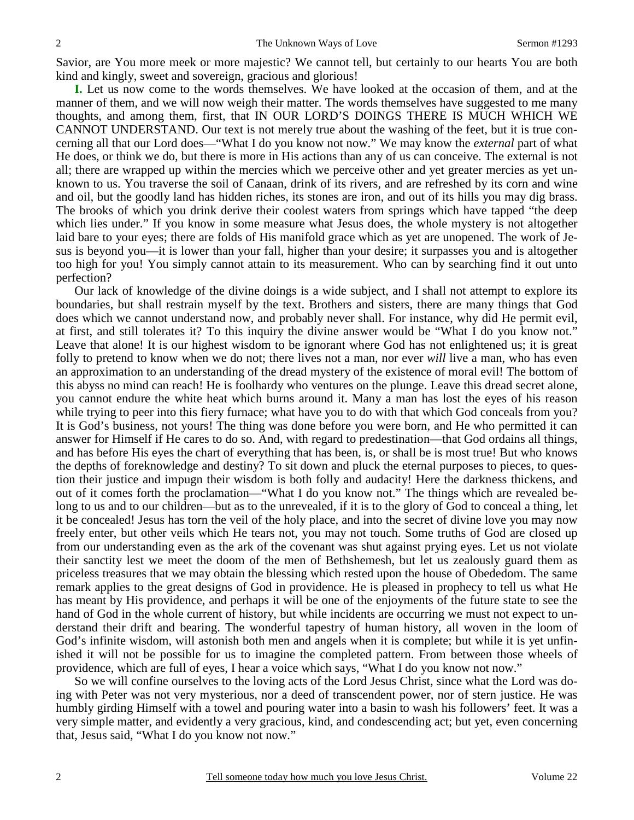Savior, are You more meek or more majestic? We cannot tell, but certainly to our hearts You are both kind and kingly, sweet and sovereign, gracious and glorious!

**I.** Let us now come to the words themselves. We have looked at the occasion of them, and at the manner of them, and we will now weigh their matter. The words themselves have suggested to me many thoughts, and among them, first, that IN OUR LORD'S DOINGS THERE IS MUCH WHICH WE CANNOT UNDERSTAND. Our text is not merely true about the washing of the feet, but it is true concerning all that our Lord does—"What I do you know not now." We may know the *external* part of what He does, or think we do, but there is more in His actions than any of us can conceive. The external is not all; there are wrapped up within the mercies which we perceive other and yet greater mercies as yet unknown to us. You traverse the soil of Canaan, drink of its rivers, and are refreshed by its corn and wine and oil, but the goodly land has hidden riches, its stones are iron, and out of its hills you may dig brass. The brooks of which you drink derive their coolest waters from springs which have tapped "the deep which lies under." If you know in some measure what Jesus does, the whole mystery is not altogether laid bare to your eyes; there are folds of His manifold grace which as yet are unopened. The work of Jesus is beyond you—it is lower than your fall, higher than your desire; it surpasses you and is altogether too high for you! You simply cannot attain to its measurement. Who can by searching find it out unto perfection?

 Our lack of knowledge of the divine doings is a wide subject, and I shall not attempt to explore its boundaries, but shall restrain myself by the text. Brothers and sisters, there are many things that God does which we cannot understand now, and probably never shall. For instance, why did He permit evil, at first, and still tolerates it? To this inquiry the divine answer would be "What I do you know not." Leave that alone! It is our highest wisdom to be ignorant where God has not enlightened us; it is great folly to pretend to know when we do not; there lives not a man, nor ever *will* live a man, who has even an approximation to an understanding of the dread mystery of the existence of moral evil! The bottom of this abyss no mind can reach! He is foolhardy who ventures on the plunge. Leave this dread secret alone, you cannot endure the white heat which burns around it. Many a man has lost the eyes of his reason while trying to peer into this fiery furnace; what have you to do with that which God conceals from you? It is God's business, not yours! The thing was done before you were born, and He who permitted it can answer for Himself if He cares to do so. And, with regard to predestination—that God ordains all things, and has before His eyes the chart of everything that has been, is, or shall be is most true! But who knows the depths of foreknowledge and destiny? To sit down and pluck the eternal purposes to pieces, to question their justice and impugn their wisdom is both folly and audacity! Here the darkness thickens, and out of it comes forth the proclamation—"What I do you know not." The things which are revealed belong to us and to our children—but as to the unrevealed, if it is to the glory of God to conceal a thing, let it be concealed! Jesus has torn the veil of the holy place, and into the secret of divine love you may now freely enter, but other veils which He tears not, you may not touch. Some truths of God are closed up from our understanding even as the ark of the covenant was shut against prying eyes. Let us not violate their sanctity lest we meet the doom of the men of Bethshemesh, but let us zealously guard them as priceless treasures that we may obtain the blessing which rested upon the house of Obededom. The same remark applies to the great designs of God in providence. He is pleased in prophecy to tell us what He has meant by His providence, and perhaps it will be one of the enjoyments of the future state to see the hand of God in the whole current of history, but while incidents are occurring we must not expect to understand their drift and bearing. The wonderful tapestry of human history, all woven in the loom of God's infinite wisdom, will astonish both men and angels when it is complete; but while it is yet unfinished it will not be possible for us to imagine the completed pattern. From between those wheels of providence, which are full of eyes, I hear a voice which says, "What I do you know not now."

 So we will confine ourselves to the loving acts of the Lord Jesus Christ, since what the Lord was doing with Peter was not very mysterious, nor a deed of transcendent power, nor of stern justice. He was humbly girding Himself with a towel and pouring water into a basin to wash his followers' feet. It was a very simple matter, and evidently a very gracious, kind, and condescending act; but yet, even concerning that, Jesus said, "What I do you know not now."

2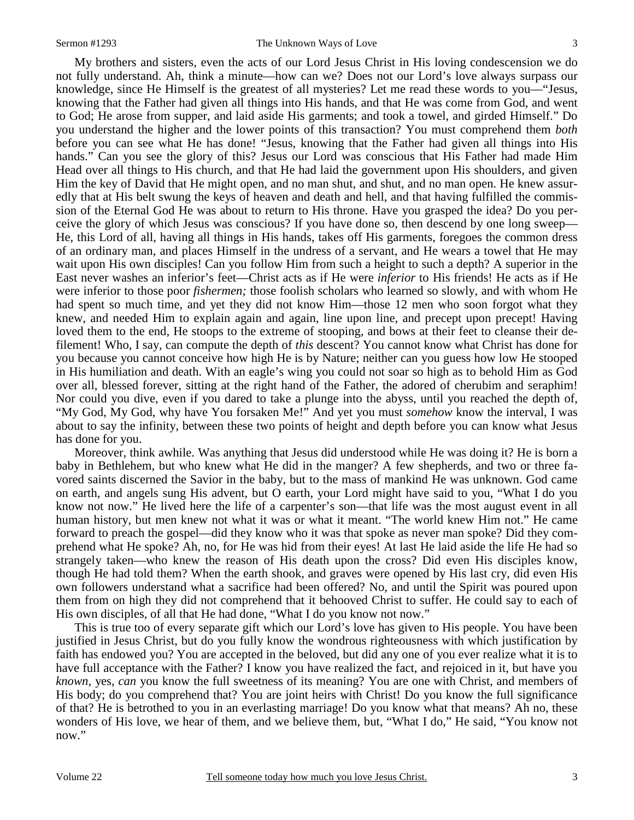My brothers and sisters, even the acts of our Lord Jesus Christ in His loving condescension we do not fully understand. Ah, think a minute—how can we? Does not our Lord's love always surpass our knowledge, since He Himself is the greatest of all mysteries? Let me read these words to you—"Jesus, knowing that the Father had given all things into His hands, and that He was come from God, and went to God; He arose from supper, and laid aside His garments; and took a towel, and girded Himself." Do you understand the higher and the lower points of this transaction? You must comprehend them *both* before you can see what He has done! "Jesus, knowing that the Father had given all things into His hands." Can you see the glory of this? Jesus our Lord was conscious that His Father had made Him Head over all things to His church, and that He had laid the government upon His shoulders, and given Him the key of David that He might open, and no man shut, and shut, and no man open. He knew assuredly that at His belt swung the keys of heaven and death and hell, and that having fulfilled the commission of the Eternal God He was about to return to His throne. Have you grasped the idea? Do you perceive the glory of which Jesus was conscious? If you have done so, then descend by one long sweep— He, this Lord of all, having all things in His hands, takes off His garments, foregoes the common dress of an ordinary man, and places Himself in the undress of a servant, and He wears a towel that He may wait upon His own disciples! Can you follow Him from such a height to such a depth? A superior in the East never washes an inferior's feet—Christ acts as if He were *inferior* to His friends! He acts as if He were inferior to those poor *fishermen;* those foolish scholars who learned so slowly, and with whom He had spent so much time, and yet they did not know Him—those 12 men who soon forgot what they knew, and needed Him to explain again and again, line upon line, and precept upon precept! Having loved them to the end, He stoops to the extreme of stooping, and bows at their feet to cleanse their defilement! Who, I say, can compute the depth of *this* descent? You cannot know what Christ has done for you because you cannot conceive how high He is by Nature; neither can you guess how low He stooped in His humiliation and death. With an eagle's wing you could not soar so high as to behold Him as God over all, blessed forever, sitting at the right hand of the Father, the adored of cherubim and seraphim! Nor could you dive, even if you dared to take a plunge into the abyss, until you reached the depth of, "My God, My God, why have You forsaken Me!" And yet you must *somehow* know the interval, I was about to say the infinity, between these two points of height and depth before you can know what Jesus has done for you.

 Moreover, think awhile. Was anything that Jesus did understood while He was doing it? He is born a baby in Bethlehem, but who knew what He did in the manger? A few shepherds, and two or three favored saints discerned the Savior in the baby, but to the mass of mankind He was unknown. God came on earth, and angels sung His advent, but O earth, your Lord might have said to you, "What I do you know not now." He lived here the life of a carpenter's son—that life was the most august event in all human history, but men knew not what it was or what it meant. "The world knew Him not." He came forward to preach the gospel—did they know who it was that spoke as never man spoke? Did they comprehend what He spoke? Ah, no, for He was hid from their eyes! At last He laid aside the life He had so strangely taken—who knew the reason of His death upon the cross? Did even His disciples know, though He had told them? When the earth shook, and graves were opened by His last cry, did even His own followers understand what a sacrifice had been offered? No, and until the Spirit was poured upon them from on high they did not comprehend that it behooved Christ to suffer. He could say to each of His own disciples, of all that He had done, "What I do you know not now."

 This is true too of every separate gift which our Lord's love has given to His people. You have been justified in Jesus Christ, but do you fully know the wondrous righteousness with which justification by faith has endowed you? You are accepted in the beloved, but did any one of you ever realize what it is to have full acceptance with the Father? I know you have realized the fact, and rejoiced in it, but have you *known,* yes, *can* you know the full sweetness of its meaning? You are one with Christ, and members of His body; do you comprehend that? You are joint heirs with Christ! Do you know the full significance of that? He is betrothed to you in an everlasting marriage! Do you know what that means? Ah no, these wonders of His love, we hear of them, and we believe them, but, "What I do," He said, "You know not now."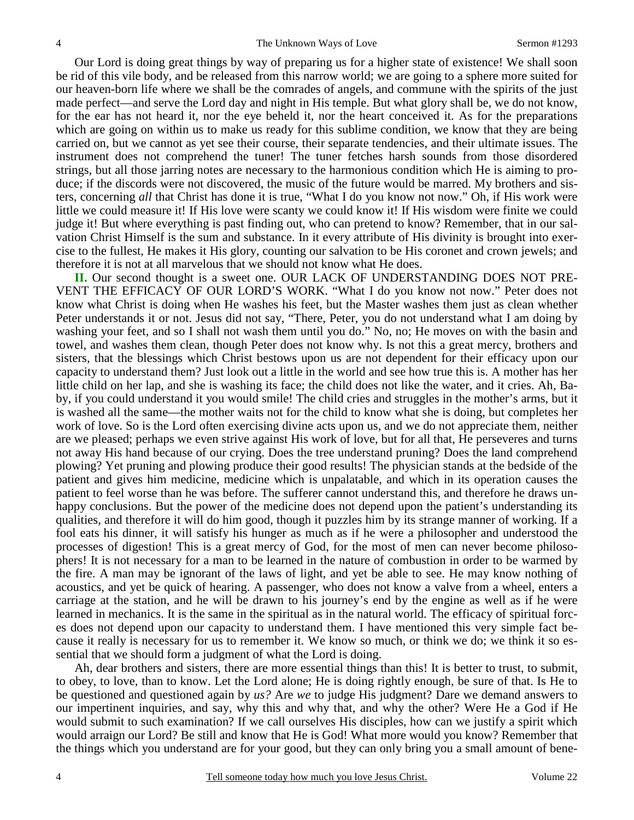Our Lord is doing great things by way of preparing us for a higher state of existence! We shall soon be rid of this vile body, and be released from this narrow world; we are going to a sphere more suited for our heaven-born life where we shall be the comrades of angels, and commune with the spirits of the just made perfect—and serve the Lord day and night in His temple. But what glory shall be, we do not know, for the ear has not heard it, nor the eye beheld it, nor the heart conceived it. As for the preparations which are going on within us to make us ready for this sublime condition, we know that they are being carried on, but we cannot as yet see their course, their separate tendencies, and their ultimate issues. The instrument does not comprehend the tuner! The tuner fetches harsh sounds from those disordered strings, but all those jarring notes are necessary to the harmonious condition which He is aiming to produce; if the discords were not discovered, the music of the future would be marred. My brothers and sisters, concerning *all* that Christ has done it is true, "What I do you know not now." Oh, if His work were little we could measure it! If His love were scanty we could know it! If His wisdom were finite we could judge it! But where everything is past finding out, who can pretend to know? Remember, that in our salvation Christ Himself is the sum and substance. In it every attribute of His divinity is brought into exercise to the fullest, He makes it His glory, counting our salvation to be His coronet and crown jewels; and therefore it is not at all marvelous that we should not know what He does.

**II.** Our second thought is a sweet one. OUR LACK OF UNDERSTANDING DOES NOT PRE-VENT THE EFFICACY OF OUR LORD'S WORK. "What I do you know not now." Peter does not know what Christ is doing when He washes his feet, but the Master washes them just as clean whether Peter understands it or not. Jesus did not say, "There, Peter, you do not understand what I am doing by washing your feet, and so I shall not wash them until you do." No, no; He moves on with the basin and towel, and washes them clean, though Peter does not know why. Is not this a great mercy, brothers and sisters, that the blessings which Christ bestows upon us are not dependent for their efficacy upon our capacity to understand them? Just look out a little in the world and see how true this is. A mother has her little child on her lap, and she is washing its face; the child does not like the water, and it cries. Ah, Baby, if you could understand it you would smile! The child cries and struggles in the mother's arms, but it is washed all the same—the mother waits not for the child to know what she is doing, but completes her work of love. So is the Lord often exercising divine acts upon us, and we do not appreciate them, neither are we pleased; perhaps we even strive against His work of love, but for all that, He perseveres and turns not away His hand because of our crying. Does the tree understand pruning? Does the land comprehend plowing? Yet pruning and plowing produce their good results! The physician stands at the bedside of the patient and gives him medicine, medicine which is unpalatable, and which in its operation causes the patient to feel worse than he was before. The sufferer cannot understand this, and therefore he draws unhappy conclusions. But the power of the medicine does not depend upon the patient's understanding its qualities, and therefore it will do him good, though it puzzles him by its strange manner of working. If a fool eats his dinner, it will satisfy his hunger as much as if he were a philosopher and understood the processes of digestion! This is a great mercy of God, for the most of men can never become philosophers! It is not necessary for a man to be learned in the nature of combustion in order to be warmed by the fire. A man may be ignorant of the laws of light, and yet be able to see. He may know nothing of acoustics, and yet be quick of hearing. A passenger, who does not know a valve from a wheel, enters a carriage at the station, and he will be drawn to his journey's end by the engine as well as if he were learned in mechanics. It is the same in the spiritual as in the natural world. The efficacy of spiritual forces does not depend upon our capacity to understand them. I have mentioned this very simple fact because it really is necessary for us to remember it. We know so much, or think we do; we think it so essential that we should form a judgment of what the Lord is doing.

 Ah, dear brothers and sisters, there are more essential things than this! It is better to trust, to submit, to obey, to love, than to know. Let the Lord alone; He is doing rightly enough, be sure of that. Is He to be questioned and questioned again by *us?* Are *we* to judge His judgment? Dare we demand answers to our impertinent inquiries, and say, why this and why that, and why the other? Were He a God if He would submit to such examination? If we call ourselves His disciples, how can we justify a spirit which would arraign our Lord? Be still and know that He is God! What more would you know? Remember that the things which you understand are for your good, but they can only bring you a small amount of bene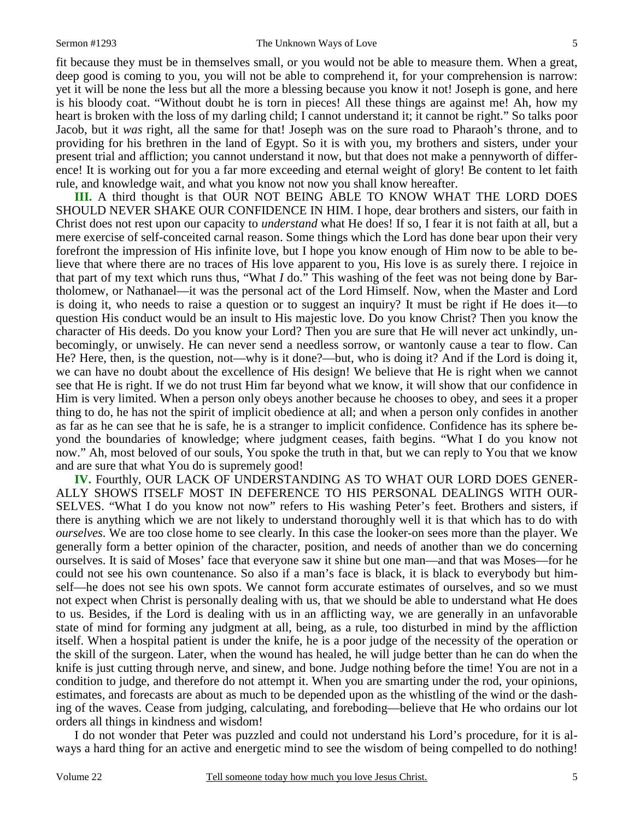fit because they must be in themselves small, or you would not be able to measure them. When a great, deep good is coming to you, you will not be able to comprehend it, for your comprehension is narrow: yet it will be none the less but all the more a blessing because you know it not! Joseph is gone, and here is his bloody coat. "Without doubt he is torn in pieces! All these things are against me! Ah, how my heart is broken with the loss of my darling child; I cannot understand it; it cannot be right." So talks poor Jacob, but it *was* right, all the same for that! Joseph was on the sure road to Pharaoh's throne, and to providing for his brethren in the land of Egypt. So it is with you, my brothers and sisters, under your present trial and affliction; you cannot understand it now, but that does not make a pennyworth of difference! It is working out for you a far more exceeding and eternal weight of glory! Be content to let faith rule, and knowledge wait, and what you know not now you shall know hereafter.

**III.** A third thought is that OUR NOT BEING ABLE TO KNOW WHAT THE LORD DOES SHOULD NEVER SHAKE OUR CONFIDENCE IN HIM. I hope, dear brothers and sisters, our faith in Christ does not rest upon our capacity to *understand* what He does! If so, I fear it is not faith at all, but a mere exercise of self-conceited carnal reason. Some things which the Lord has done bear upon their very forefront the impression of His infinite love, but I hope you know enough of Him now to be able to believe that where there are no traces of His love apparent to you, His love is as surely there. I rejoice in that part of my text which runs thus, "What *I* do." This washing of the feet was not being done by Bartholomew, or Nathanael—it was the personal act of the Lord Himself. Now, when the Master and Lord is doing it, who needs to raise a question or to suggest an inquiry? It must be right if He does it—to question His conduct would be an insult to His majestic love. Do you know Christ? Then you know the character of His deeds. Do you know your Lord? Then you are sure that He will never act unkindly, unbecomingly, or unwisely. He can never send a needless sorrow, or wantonly cause a tear to flow. Can He? Here, then, is the question, not—why is it done?—but, who is doing it? And if the Lord is doing it, we can have no doubt about the excellence of His design! We believe that He is right when we cannot see that He is right. If we do not trust Him far beyond what we know, it will show that our confidence in Him is very limited. When a person only obeys another because he chooses to obey, and sees it a proper thing to do, he has not the spirit of implicit obedience at all; and when a person only confides in another as far as he can see that he is safe, he is a stranger to implicit confidence. Confidence has its sphere beyond the boundaries of knowledge; where judgment ceases, faith begins. "What I do you know not now." Ah, most beloved of our souls, You spoke the truth in that, but we can reply to You that we know and are sure that what You do is supremely good!

**IV.** Fourthly, OUR LACK OF UNDERSTANDING AS TO WHAT OUR LORD DOES GENER-ALLY SHOWS ITSELF MOST IN DEFERENCE TO HIS PERSONAL DEALINGS WITH OUR-SELVES. "What I do you know not now" refers to His washing Peter's feet. Brothers and sisters, if there is anything which we are not likely to understand thoroughly well it is that which has to do with *ourselves*. We are too close home to see clearly. In this case the looker-on sees more than the player. We generally form a better opinion of the character, position, and needs of another than we do concerning ourselves. It is said of Moses' face that everyone saw it shine but one man—and that was Moses—for he could not see his own countenance. So also if a man's face is black, it is black to everybody but himself—he does not see his own spots. We cannot form accurate estimates of ourselves, and so we must not expect when Christ is personally dealing with us, that we should be able to understand what He does to us. Besides, if the Lord is dealing with us in an afflicting way, we are generally in an unfavorable state of mind for forming any judgment at all, being, as a rule, too disturbed in mind by the affliction itself. When a hospital patient is under the knife, he is a poor judge of the necessity of the operation or the skill of the surgeon. Later, when the wound has healed, he will judge better than he can do when the knife is just cutting through nerve, and sinew, and bone. Judge nothing before the time! You are not in a condition to judge, and therefore do not attempt it. When you are smarting under the rod, your opinions, estimates, and forecasts are about as much to be depended upon as the whistling of the wind or the dashing of the waves. Cease from judging, calculating, and foreboding—believe that He who ordains our lot orders all things in kindness and wisdom!

 I do not wonder that Peter was puzzled and could not understand his Lord's procedure, for it is always a hard thing for an active and energetic mind to see the wisdom of being compelled to do nothing!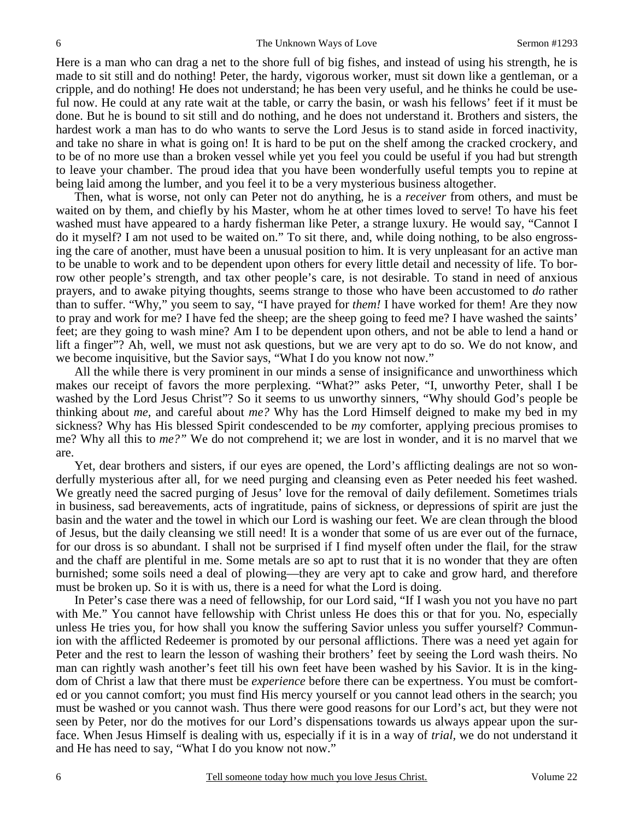Here is a man who can drag a net to the shore full of big fishes, and instead of using his strength, he is made to sit still and do nothing! Peter, the hardy, vigorous worker, must sit down like a gentleman, or a cripple, and do nothing! He does not understand; he has been very useful, and he thinks he could be useful now. He could at any rate wait at the table, or carry the basin, or wash his fellows' feet if it must be done. But he is bound to sit still and do nothing, and he does not understand it. Brothers and sisters, the hardest work a man has to do who wants to serve the Lord Jesus is to stand aside in forced inactivity, and take no share in what is going on! It is hard to be put on the shelf among the cracked crockery, and to be of no more use than a broken vessel while yet you feel you could be useful if you had but strength to leave your chamber. The proud idea that you have been wonderfully useful tempts you to repine at being laid among the lumber, and you feel it to be a very mysterious business altogether.

 Then, what is worse, not only can Peter not do anything, he is a *receiver* from others, and must be waited on by them, and chiefly by his Master, whom he at other times loved to serve! To have his feet washed must have appeared to a hardy fisherman like Peter, a strange luxury. He would say, "Cannot I do it myself? I am not used to be waited on." To sit there, and, while doing nothing, to be also engrossing the care of another, must have been a unusual position to him. It is very unpleasant for an active man to be unable to work and to be dependent upon others for every little detail and necessity of life. To borrow other people's strength, and tax other people's care, is not desirable. To stand in need of anxious prayers, and to awake pitying thoughts, seems strange to those who have been accustomed to *do* rather than to suffer. "Why," you seem to say, "I have prayed for *them!* I have worked for them! Are they now to pray and work for me? I have fed the sheep; are the sheep going to feed me? I have washed the saints' feet; are they going to wash mine? Am I to be dependent upon others, and not be able to lend a hand or lift a finger"? Ah, well, we must not ask questions, but we are very apt to do so. We do not know, and we become inquisitive, but the Savior says, "What I do you know not now."

 All the while there is very prominent in our minds a sense of insignificance and unworthiness which makes our receipt of favors the more perplexing. "What?" asks Peter, "I, unworthy Peter, shall I be washed by the Lord Jesus Christ"? So it seems to us unworthy sinners, "Why should God's people be thinking about *me,* and careful about *me?* Why has the Lord Himself deigned to make my bed in my sickness? Why has His blessed Spirit condescended to be *my* comforter, applying precious promises to me? Why all this to *me?"* We do not comprehend it; we are lost in wonder, and it is no marvel that we are.

 Yet, dear brothers and sisters, if our eyes are opened, the Lord's afflicting dealings are not so wonderfully mysterious after all, for we need purging and cleansing even as Peter needed his feet washed. We greatly need the sacred purging of Jesus' love for the removal of daily defilement. Sometimes trials in business, sad bereavements, acts of ingratitude, pains of sickness, or depressions of spirit are just the basin and the water and the towel in which our Lord is washing our feet. We are clean through the blood of Jesus, but the daily cleansing we still need! It is a wonder that some of us are ever out of the furnace, for our dross is so abundant. I shall not be surprised if I find myself often under the flail, for the straw and the chaff are plentiful in me. Some metals are so apt to rust that it is no wonder that they are often burnished; some soils need a deal of plowing—they are very apt to cake and grow hard, and therefore must be broken up. So it is with us, there is a need for what the Lord is doing.

 In Peter's case there was a need of fellowship, for our Lord said, "If I wash you not you have no part with Me." You cannot have fellowship with Christ unless He does this or that for you. No, especially unless He tries you, for how shall you know the suffering Savior unless you suffer yourself? Communion with the afflicted Redeemer is promoted by our personal afflictions. There was a need yet again for Peter and the rest to learn the lesson of washing their brothers' feet by seeing the Lord wash theirs. No man can rightly wash another's feet till his own feet have been washed by his Savior. It is in the kingdom of Christ a law that there must be *experience* before there can be expertness. You must be comforted or you cannot comfort; you must find His mercy yourself or you cannot lead others in the search; you must be washed or you cannot wash. Thus there were good reasons for our Lord's act, but they were not seen by Peter, nor do the motives for our Lord's dispensations towards us always appear upon the surface. When Jesus Himself is dealing with us, especially if it is in a way of *trial,* we do not understand it and He has need to say, "What I do you know not now."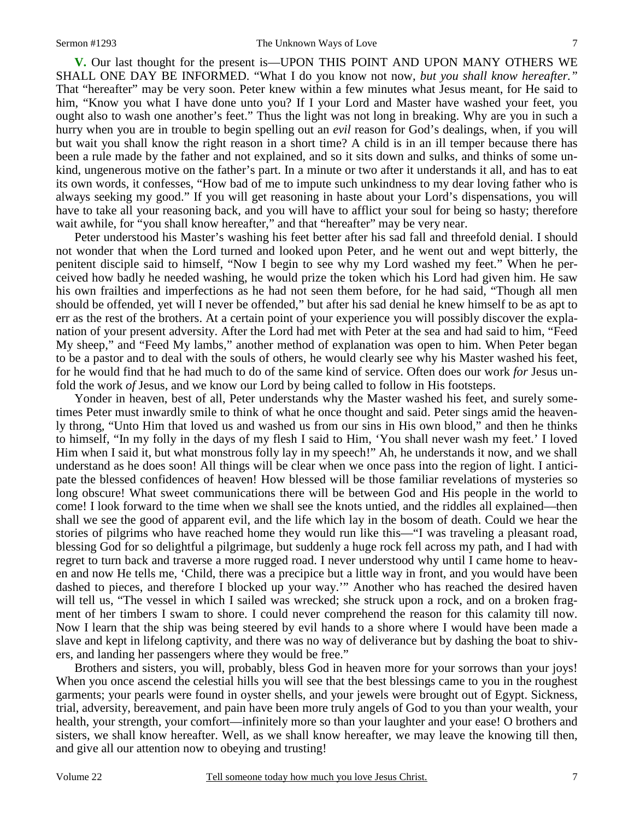**V.** Our last thought for the present is—UPON THIS POINT AND UPON MANY OTHERS WE SHALL ONE DAY BE INFORMED. "What I do you know not now, *but you shall know hereafter."* That "hereafter" may be very soon. Peter knew within a few minutes what Jesus meant, for He said to him, "Know you what I have done unto you? If I your Lord and Master have washed your feet, you ought also to wash one another's feet." Thus the light was not long in breaking. Why are you in such a hurry when you are in trouble to begin spelling out an *evil* reason for God's dealings, when, if you will but wait you shall know the right reason in a short time? A child is in an ill temper because there has been a rule made by the father and not explained, and so it sits down and sulks, and thinks of some unkind, ungenerous motive on the father's part. In a minute or two after it understands it all, and has to eat its own words, it confesses, "How bad of me to impute such unkindness to my dear loving father who is always seeking my good." If you will get reasoning in haste about your Lord's dispensations, you will have to take all your reasoning back, and you will have to afflict your soul for being so hasty; therefore wait awhile, for "you shall know hereafter," and that "hereafter" may be very near.

 Peter understood his Master's washing his feet better after his sad fall and threefold denial. I should not wonder that when the Lord turned and looked upon Peter, and he went out and wept bitterly, the penitent disciple said to himself, "Now I begin to see why my Lord washed my feet." When he perceived how badly he needed washing, he would prize the token which his Lord had given him. He saw his own frailties and imperfections as he had not seen them before, for he had said, "Though all men should be offended, yet will I never be offended," but after his sad denial he knew himself to be as apt to err as the rest of the brothers. At a certain point of your experience you will possibly discover the explanation of your present adversity. After the Lord had met with Peter at the sea and had said to him, "Feed My sheep," and "Feed My lambs," another method of explanation was open to him. When Peter began to be a pastor and to deal with the souls of others, he would clearly see why his Master washed his feet, for he would find that he had much to do of the same kind of service. Often does our work *for* Jesus unfold the work *of* Jesus, and we know our Lord by being called to follow in His footsteps.

 Yonder in heaven, best of all, Peter understands why the Master washed his feet, and surely sometimes Peter must inwardly smile to think of what he once thought and said. Peter sings amid the heavenly throng, "Unto Him that loved us and washed us from our sins in His own blood," and then he thinks to himself, "In my folly in the days of my flesh I said to Him, 'You shall never wash my feet.' I loved Him when I said it, but what monstrous folly lay in my speech!" Ah, he understands it now, and we shall understand as he does soon! All things will be clear when we once pass into the region of light. I anticipate the blessed confidences of heaven! How blessed will be those familiar revelations of mysteries so long obscure! What sweet communications there will be between God and His people in the world to come! I look forward to the time when we shall see the knots untied, and the riddles all explained—then shall we see the good of apparent evil, and the life which lay in the bosom of death. Could we hear the stories of pilgrims who have reached home they would run like this—"I was traveling a pleasant road, blessing God for so delightful a pilgrimage, but suddenly a huge rock fell across my path, and I had with regret to turn back and traverse a more rugged road. I never understood why until I came home to heaven and now He tells me, 'Child, there was a precipice but a little way in front, and you would have been dashed to pieces, and therefore I blocked up your way.'" Another who has reached the desired haven will tell us, "The vessel in which I sailed was wrecked; she struck upon a rock, and on a broken fragment of her timbers I swam to shore. I could never comprehend the reason for this calamity till now. Now I learn that the ship was being steered by evil hands to a shore where I would have been made a slave and kept in lifelong captivity, and there was no way of deliverance but by dashing the boat to shivers, and landing her passengers where they would be free."

 Brothers and sisters, you will, probably, bless God in heaven more for your sorrows than your joys! When you once ascend the celestial hills you will see that the best blessings came to you in the roughest garments; your pearls were found in oyster shells, and your jewels were brought out of Egypt. Sickness, trial, adversity, bereavement, and pain have been more truly angels of God to you than your wealth, your health, your strength, your comfort—infinitely more so than your laughter and your ease! O brothers and sisters, we shall know hereafter. Well, as we shall know hereafter, we may leave the knowing till then, and give all our attention now to obeying and trusting!